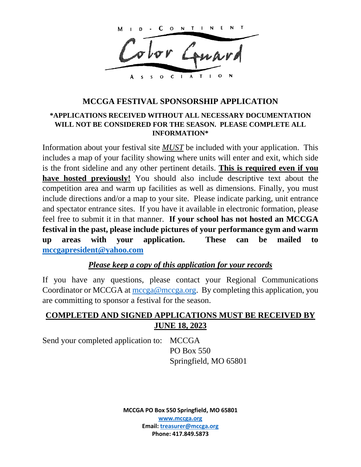ONTINEN C м

 $S$  O C I A T I

## **MCCGA FESTIVAL SPONSORSHIP APPLICATION**

### **\*APPLICATIONS RECEIVED WITHOUT ALL NECESSARY DOCUMENTATION WILL NOT BE CONSIDERED FOR THE SEASON. PLEASE COMPLETE ALL INFORMATION\***

Information about your festival site *MUST* be included with your application. This includes a map of your facility showing where units will enter and exit, which side is the front sideline and any other pertinent details. **This is required even if you have hosted previously!** You should also include descriptive text about the competition area and warm up facilities as well as dimensions. Finally, you must include directions and/or a map to your site. Please indicate parking, unit entrance and spectator entrance sites. If you have it available in electronic formation, please feel free to submit it in that manner. **If your school has not hosted an MCCGA festival in the past, please include pictures of your performance gym and warm up areas with your application. These can be mailed to [mccgapresident@yahoo.com](mailto:mccgapresident@yahoo.com)** 

## *Please keep a copy of this application for your records*

If you have any questions, please contact your Regional Communications Coordinator or MCCGA at [mccga@mccga.org.](mailto:mccga@mccga.org) By completing this application, you are committing to sponsor a festival for the season.

## **COMPLETED AND SIGNED APPLICATIONS MUST BE RECEIVED BY JUNE 18, 2023**

Send your completed application to: MCCGA

PO Box 550 Springfield, MO 65801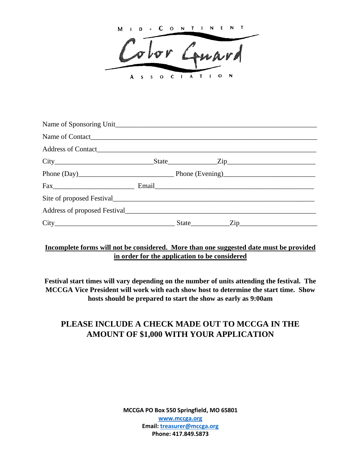M ID-CONTINEN solor Gunn  $S$   $S$   $O$   $C$   $I$   $A$   $T$   $I$   $O$ A

| Name of Contact |  |  |
|-----------------|--|--|
|                 |  |  |
|                 |  |  |
|                 |  |  |
|                 |  |  |
|                 |  |  |
|                 |  |  |
|                 |  |  |

### **Incomplete forms will not be considered. More than one suggested date must be provided in order for the application to be considered**

**Festival start times will vary depending on the number of units attending the festival. The MCCGA Vice President will work with each show host to determine the start time. Show hosts should be prepared to start the show as early as 9:00am**

# **PLEASE INCLUDE A CHECK MADE OUT TO MCCGA IN THE AMOUNT OF \$1,000 WITH YOUR APPLICATION**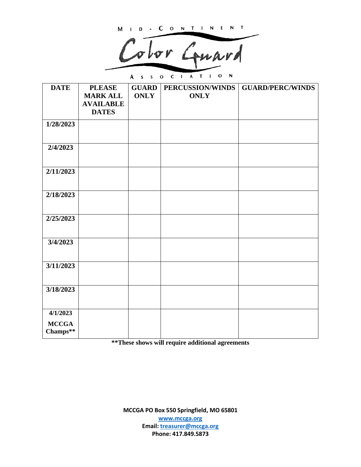M I D - C O N T I N E N T

Color Gunri

A  $s$   $s$   $o$   $c$   $1$   $A$   $T$   $1$   $o$  $\blacksquare$ 

| <b>DATE</b>              | <b>PLEASE</b>    | <b>GUARD</b> | PERCUSSION/WINDS | <b>GUARD/PERC/WINDS</b> |
|--------------------------|------------------|--------------|------------------|-------------------------|
|                          | <b>MARK ALL</b>  | <b>ONLY</b>  | <b>ONLY</b>      |                         |
|                          | <b>AVAILABLE</b> |              |                  |                         |
|                          | <b>DATES</b>     |              |                  |                         |
| 1/28/2023                |                  |              |                  |                         |
|                          |                  |              |                  |                         |
| 2/4/2023                 |                  |              |                  |                         |
| 2/11/2023                |                  |              |                  |                         |
|                          |                  |              |                  |                         |
| 2/18/2023                |                  |              |                  |                         |
|                          |                  |              |                  |                         |
| 2/25/2023                |                  |              |                  |                         |
|                          |                  |              |                  |                         |
| 3/4/2023                 |                  |              |                  |                         |
|                          |                  |              |                  |                         |
| 3/11/2023                |                  |              |                  |                         |
|                          |                  |              |                  |                         |
| 3/18/2023                |                  |              |                  |                         |
|                          |                  |              |                  |                         |
| 4/1/2023                 |                  |              |                  |                         |
| <b>MCCGA</b><br>Champs** |                  |              |                  |                         |

**\*\*These shows will require additional agreements**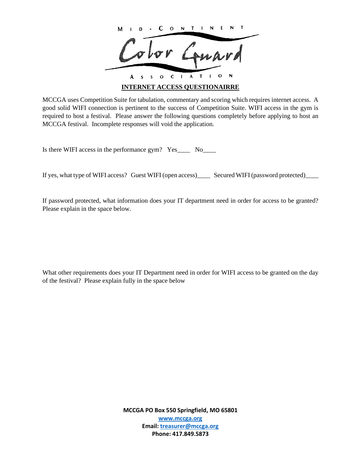CONTINE M SOCIATI  $\mathbf{o}$ A  $\overline{\mathbf{s}}$ **INTERNET ACCESS QUESTIONAIRRE**

MCCGA uses Competition Suite for tabulation, commentary and scoring which requires internet access. A good solid WIFI connection is pertinent to the success of Competition Suite. WIFI access in the gym is required to host a festival. Please answer the following questions completely before applying to host an MCCGA festival. Incomplete responses will void the application.

Is there WIFI access in the performance gym? Yes\_\_\_\_\_ No\_\_\_\_

If yes, what type of WIFI access? Guest WIFI (open access)\_\_\_\_\_ Secured WIFI (password protected)\_\_\_\_

If password protected, what information does your IT department need in order for access to be granted? Please explain in the space below.

What other requirements does your IT Department need in order for WIFI access to be granted on the day of the festival? Please explain fully in the space below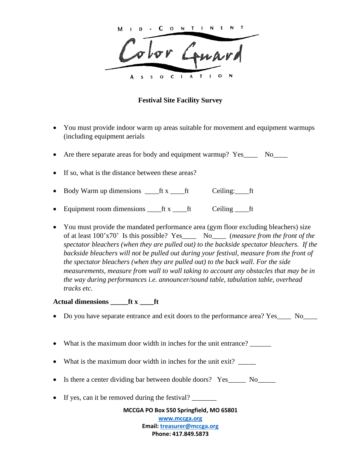$O \tN$  T  $\mathsf{I}$  N E  $\sigma$  for  $\mathbb{Z}_2$  $S$  O C I A T I

### **Festival Site Facility Survey**

- You must provide indoor warm up areas suitable for movement and equipment warmups (including equipment aerials
- Are there separate areas for body and equipment warmup? Yes\_\_\_\_ No\_\_\_\_
- If so, what is the distance between these areas?
- Body Warm up dimensions \_\_\_\_ft x \_\_\_\_ft Ceiling:\_\_\_\_ft
- Equipment room dimensions \_\_\_\_ft x \_\_\_\_ft Ceiling \_\_\_\_ft
- You must provide the mandated performance area (gym floor excluding bleachers) size of at least 100'x70' Is this possible? Yes\_\_\_\_ No\_\_\_\_ (*measure from the front of the spectator bleachers (when they are pulled out) to the backside spectator bleachers. If the*  backside bleachers will not be pulled out during your festival, measure from the front of *the spectator bleachers (when they are pulled out) to the back wall. For the side measurements, measure from wall to wall taking to account any obstacles that may be in the way during performances i.e. announcer/sound table, tabulation table, overhead tracks etc.*

### **Actual dimensions \_\_\_\_\_ft x \_\_\_\_ft**

- Do you have separate entrance and exit doors to the performance area? Yes\_\_\_\_ No\_\_\_\_
- What is the maximum door width in inches for the unit entrance?
- What is the maximum door width in inches for the unit exit? \_\_\_\_\_\_
- Is there a center dividing bar between double doors? Yes\_\_\_\_\_ No\_\_\_\_\_
- If yes, can it be removed during the festival?

**MCCGA PO Box 550 Springfield, MO 65801**

**[www.mccga.org](http://www.mccga.org/) Email: [treasurer@mccga.org](mailto:treasurer@mccga.org) Phone: 417.849.5873**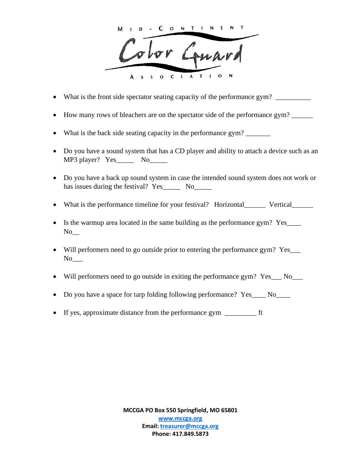CONTINE  $S$  O C I A T I

- What is the front side spectator seating capacity of the performance gym?
- How many rows of bleachers are on the spectator side of the performance gym?
- What is the back side seating capacity in the performance gym? \_\_\_\_\_\_\_\_\_\_\_\_\_\_\_
- Do you have a sound system that has a CD player and ability to attach a device such as an MP3 player? Yes No
- Do you have a back up sound system in case the intended sound system does not work or has issues during the festival? Yes\_\_\_\_\_\_ No\_\_\_\_\_\_
- What is the performance timeline for your festival? Horizontal\_\_\_\_\_\_ Vertical\_\_\_\_\_\_
- Is the warmup area located in the same building as the performance gym? Yes\_\_\_\_  $No$ <sub>\_\_\_</sub>
- Will performers need to go outside prior to entering the performance gym? Yes\_\_\_\_  $No$ <sub>\_\_\_</sub>
- Will performers need to go outside in exiting the performance gym? Yes No
- Do you have a space for tarp folding following performance? Yes No
- If yes, approximate distance from the performance gym \_\_\_\_\_\_\_\_\_ ft